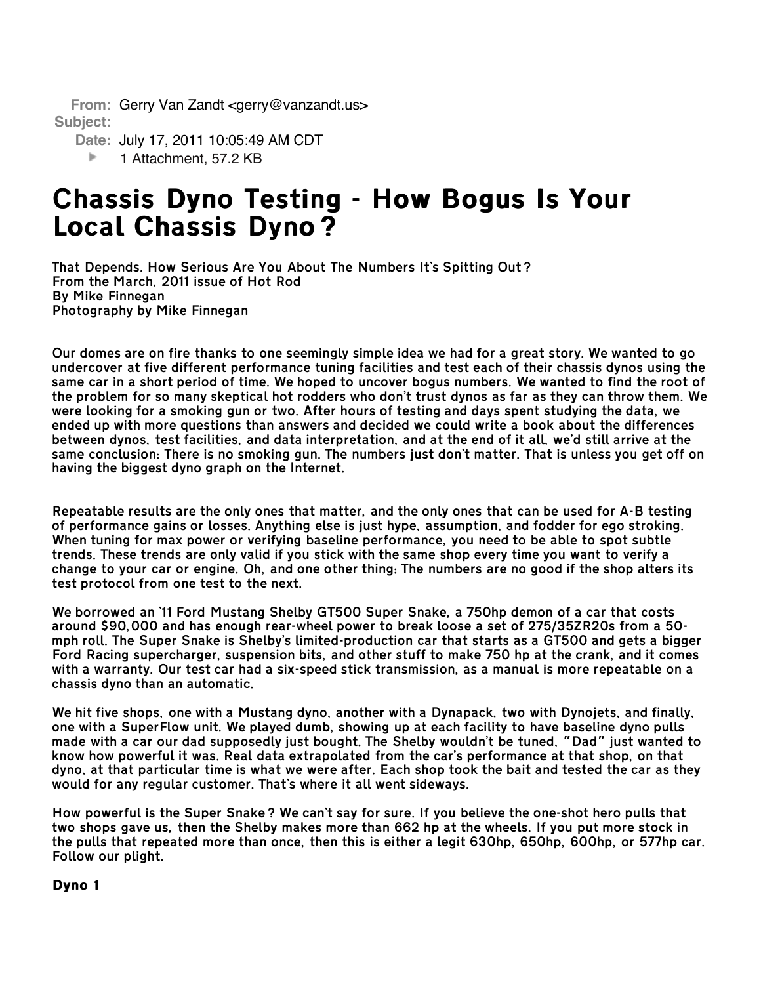**From:** Gerry Van Zandt <gerry@vanzandt.us> **Subject:** 

**Date:** July 17, 2011 10:05:49 AM CDT

þ. 1 Attachment, 57.2 KB

# Chassis Dyno Testing - How Bogus Is Your Chassis Dyno Testing - How Bogus Is Your Local Chassis Dyno?

That Depends. How Serious Are You About The Numbers It's Spitting Out? From the March, 2011 issue of Hot Rod By Mike Finnegan Photography by Mike Finnegan

Our domes are on fire thanks to one seemingly simple idea we had for a great story. We wanted to go undercover at five different performance tuning facilities and test each of their chassis dynos using the same car in a short period of time. We hoped to uncover bogus numbers. We wanted to find the root of the problem for so many skeptical hot rodders who don't trust dynos as far as they can throw them. We were looking for a smoking gun or two. After hours of testing and days spent studying the data, we ended up with more questions than answers and decided we could write a book about the differences between dynos, test facilities, and data interpretation, and at the end of it all, we'd still arrive at the same conclusion: There is no smoking gun. The numbers just don't matter. That is unless you get off on having the biggest dyno graph on the Internet.

Repeatable results are the only ones that matter, and the only ones that can be used for A-B testing of performance gains or losses. Anything else is just hype, assumption, and fodder for ego stroking. When tuning for max power or verifying baseline performance, you need to be able to spot subtle trends. These trends are only valid if you stick with the same shop every time you want to verify a change to your car or engine. Oh, and one other thing: The numbers are no good if the shop alters its test protocol from one test to the next.

We borrowed an '11 Ford Mustang Shelby GT500 Super Snake, a 750hp demon of a car that costs around \$90,000 and has enough rear-wheel power to break loose a set of 275/35ZR20s from a 50 mph roll. The Super Snake is Shelby's limited-production car that starts as a GT500 and gets a bigger Ford Racing supercharger, suspension bits, and other stuff to make 750 hp at the crank, and it comes with a warranty. Our test car had a six-speed stick transmission, as a manual is more repeatable on a chassis dyno than an automatic.

We hit five shops, one with a Mustang dyno, another with a Dynapack, two with Dynojets, and finally, one with a SuperFlow unit. We played dumb, showing up at each facility to have baseline dyno pulls made with a car our dad supposedly just bought. The Shelby wouldn't be tuned, "Dad" just wanted to know how powerful it was. Real data extrapolated from the car's performance at that shop, on that dyno, at that particular time is what we were after. Each shop took the bait and tested the car as they would for any regular customer. That's where it all went sideways.

How powerful is the Super Snake? We can't say for sure. If you believe the one-shot hero pulls that two shops gave us, then the Shelby makes more than 662 hp at the wheels. If you put more stock in the pulls that repeated more than once, then this is either a legit 630hp, 650hp, 600hp, or 577hp car. Follow our plight.

Dyno 1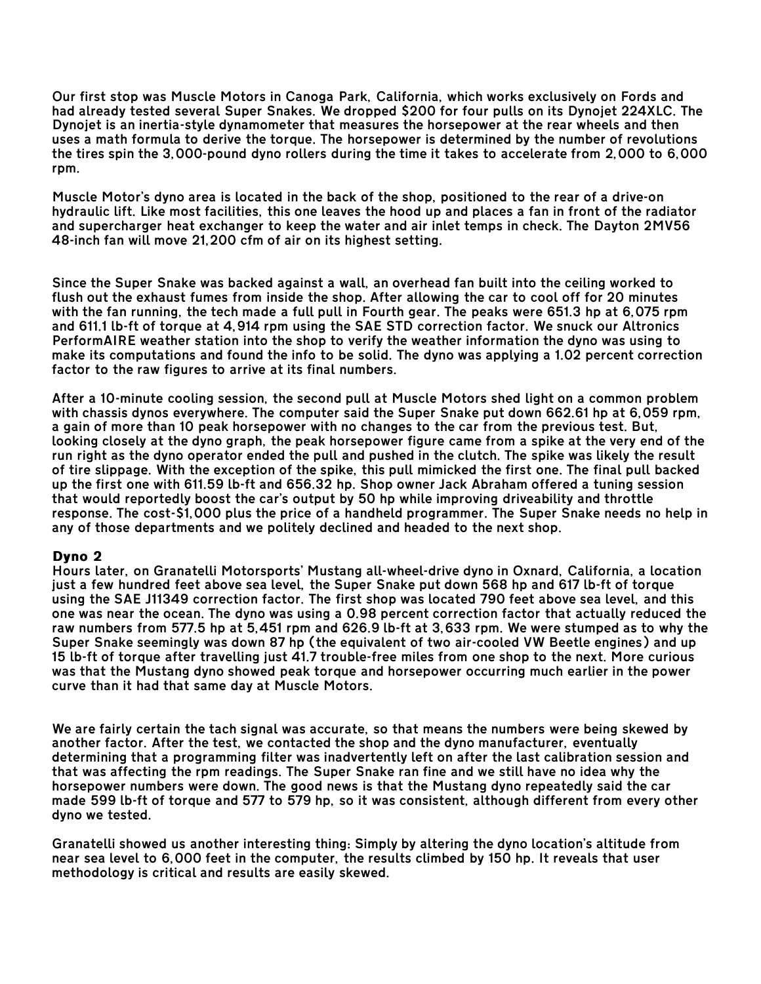Our first stop was Muscle Motors in Canoga Park, California, which works exclusively on Fords and had already tested several Super Snakes. We dropped \$200 for four pulls on its Dynojet 224XLC. The Dynojet is an inertia-style dynamometer that measures the horsepower at the rear wheels and then uses a math formula to derive the torque. The horsepower is determined by the number of revolutions the tires spin the 3,000-pound dyno rollers during the time it takes to accelerate from 2,000 to 6,000 rpm.

Muscle Motor's dyno area is located in the back of the shop, positioned to the rear of a drive-on hydraulic lift. Like most facilities, this one leaves the hood up and places a fan in front of the radiator and supercharger heat exchanger to keep the water and air inlet temps in check. The Dayton 2MV56 48-inch fan will move 21,200 cfm of air on its highest setting.

Since the Super Snake was backed against a wall, an overhead fan built into the ceiling worked to flush out the exhaust fumes from inside the shop. After allowing the car to cool off for 20 minutes with the fan running, the tech made a full pull in Fourth gear. The peaks were 651.3 hp at 6,075 rpm and 611.1 lb-ft of torque at 4,914 rpm using the SAE STD correction factor. We snuck our Altronics PerformAIRE weather station into the shop to verify the weather information the dyno was using to make its computations and found the info to be solid. The dyno was applying a 1.02 percent correction factor to the raw figures to arrive at its final numbers.

After a 10-minute cooling session, the second pull at Muscle Motors shed light on a common problem with chassis dynos everywhere. The computer said the Super Snake put down 662.61 hp at 6,059 rpm, a gain of more than 10 peak horsepower with no changes to the car from the previous test. But, looking closely at the dyno graph, the peak horsepower figure came from a spike at the very end of the run right as the dyno operator ended the pull and pushed in the clutch. The spike was likely the result of tire slippage. With the exception of the spike, this pull mimicked the first one. The final pull backed up the first one with 611.59 lb-ft and 656.32 hp. Shop owner Jack Abraham offered a tuning session that would reportedly boost the car's output by 50 hp while improving driveability and throttle response. The cost-\$1,000 plus the price of a handheld programmer. The Super Snake needs no help in any of those departments and we politely declined and headed to the next shop.

## Dyno 2

Hours later, on Granatelli Motorsports' Mustang all-wheel-drive dyno in Oxnard, California, a location just a few hundred feet above sea level, the Super Snake put down 568 hp and 617 lb-ft of torque using the SAE J11349 correction factor. The first shop was located 790 feet above sea level, and this one was near the ocean. The dyno was using a 0.98 percent correction factor that actually reduced the raw numbers from 577.5 hp at 5,451 rpm and 626.9 lb-ft at 3,633 rpm. We were stumped as to why the Super Snake seemingly was down 87 hp (the equivalent of two air-cooled VW Beetle engines) and up 15 lb-ft of torque after travelling just 41.7 trouble-free miles from one shop to the next. More curious was that the Mustang dyno showed peak torque and horsepower occurring much earlier in the power curve than it had that same day at Muscle Motors.

We are fairly certain the tach signal was accurate, so that means the numbers were being skewed by another factor. After the test, we contacted the shop and the dyno manufacturer, eventually determining that a programming filter was inadvertently left on after the last calibration session and that was affecting the rpm readings. The Super Snake ran fine and we still have no idea why the horsepower numbers were down. The good news is that the Mustang dyno repeatedly said the car made 599 lb-ft of torque and 577 to 579 hp, so it was consistent, although different from every other dyno we tested.

Granatelli showed us another interesting thing: Simply by altering the dyno location's altitude from near sea level to 6,000 feet in the computer, the results climbed by 150 hp. It reveals that user methodology is critical and results are easily skewed.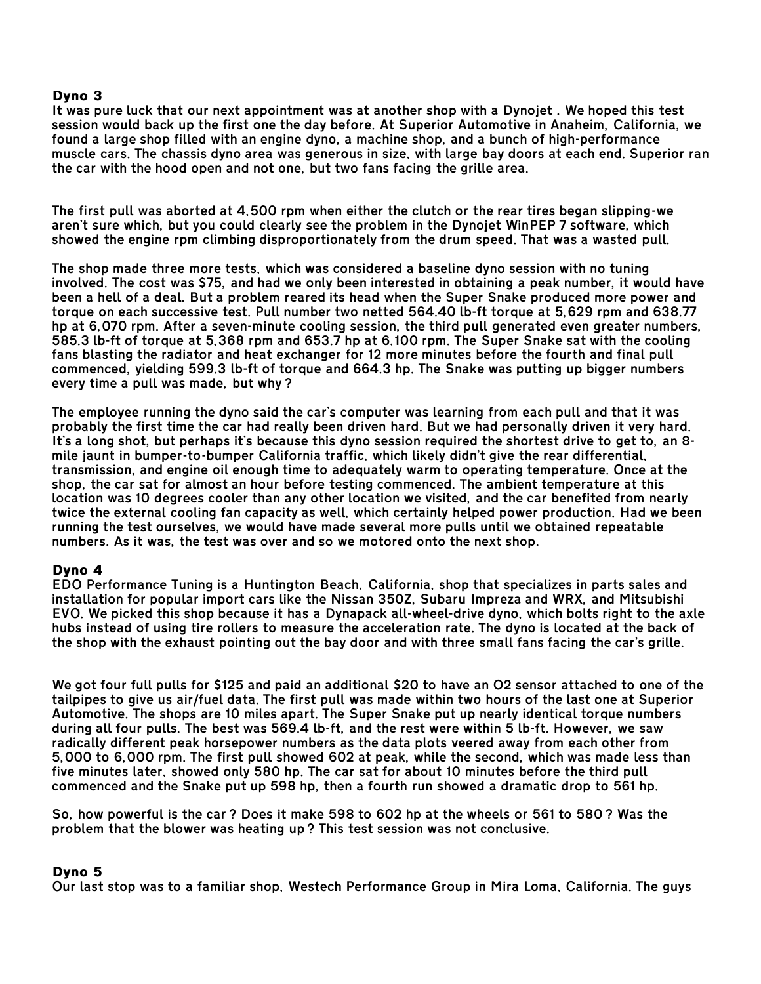## Dyno 3

It was pure luck that our next appointment was at another shop with a Dynojet . We hoped this test session would back up the first one the day before. At Superior Automotive in Anaheim, California, we found a large shop filled with an engine dyno, a machine shop, and a bunch of high-performance muscle cars. The chassis dyno area was generous in size, with large bay doors at each end. Superior ran the car with the hood open and not one, but two fans facing the grille area.

The first pull was aborted at 4,500 rpm when either the clutch or the rear tires began slipping-we aren't sure which, but you could clearly see the problem in the Dynojet WinPEP 7 software, which showed the engine rpm climbing disproportionately from the drum speed. That was a wasted pull.

The shop made three more tests, which was considered a baseline dyno session with no tuning involved. The cost was \$75, and had we only been interested in obtaining a peak number, it would have been a hell of a deal. But a problem reared its head when the Super Snake produced more power and torque on each successive test. Pull number two netted 564.40 lb-ft torque at 5,629 rpm and 638.77 hp at 6,070 rpm. After a seven-minute cooling session, the third pull generated even greater numbers, 585.3 lb-ft of torque at 5,368 rpm and 653.7 hp at 6,100 rpm. The Super Snake sat with the cooling fans blasting the radiator and heat exchanger for 12 more minutes before the fourth and final pull commenced, yielding 599.3 lb-ft of torque and 664.3 hp. The Snake was putting up bigger numbers every time a pull was made, but why?

The employee running the dyno said the car's computer was learning from each pull and that it was probably the first time the car had really been driven hard. But we had personally driven it very hard. It's a long shot, but perhaps it's because this dyno session required the shortest drive to get to, an 8 mile jaunt in bumper-to-bumper California traffic, which likely didn't give the rear differential, transmission, and engine oil enough time to adequately warm to operating temperature. Once at the shop, the car sat for almost an hour before testing commenced. The ambient temperature at this location was 10 degrees cooler than any other location we visited, and the car benefited from nearly twice the external cooling fan capacity as well, which certainly helped power production. Had we been running the test ourselves, we would have made several more pulls until we obtained repeatable numbers. As it was, the test was over and so we motored onto the next shop.

## Dyno 4

EDO Performance Tuning is a Huntington Beach, California, shop that specializes in parts sales and installation for popular import cars like the Nissan 350Z, Subaru Impreza and WRX, and Mitsubishi EVO. We picked this shop because it has a Dynapack all-wheel-drive dyno, which bolts right to the axle hubs instead of using tire rollers to measure the acceleration rate. The dyno is located at the back of the shop with the exhaust pointing out the bay door and with three small fans facing the car's grille.

We got four full pulls for \$125 and paid an additional \$20 to have an O2 sensor attached to one of the tailpipes to give us air/fuel data. The first pull was made within two hours of the last one at Superior Automotive. The shops are 10 miles apart. The Super Snake put up nearly identical torque numbers during all four pulls. The best was 569.4 lb-ft, and the rest were within 5 lb-ft. However, we saw radically different peak horsepower numbers as the data plots veered away from each other from 5,000 to 6,000 rpm. The first pull showed 602 at peak, while the second, which was made less than five minutes later, showed only 580 hp. The car sat for about 10 minutes before the third pull commenced and the Snake put up 598 hp, then a fourth run showed a dramatic drop to 561 hp.

So, how powerful is the car? Does it make 598 to 602 hp at the wheels or 561 to 580? Was the problem that the blower was heating up? This test session was not conclusive.

#### Dyno 5

Our last stop was to a familiar shop, Westech Performance Group in Mira Loma, California. The guys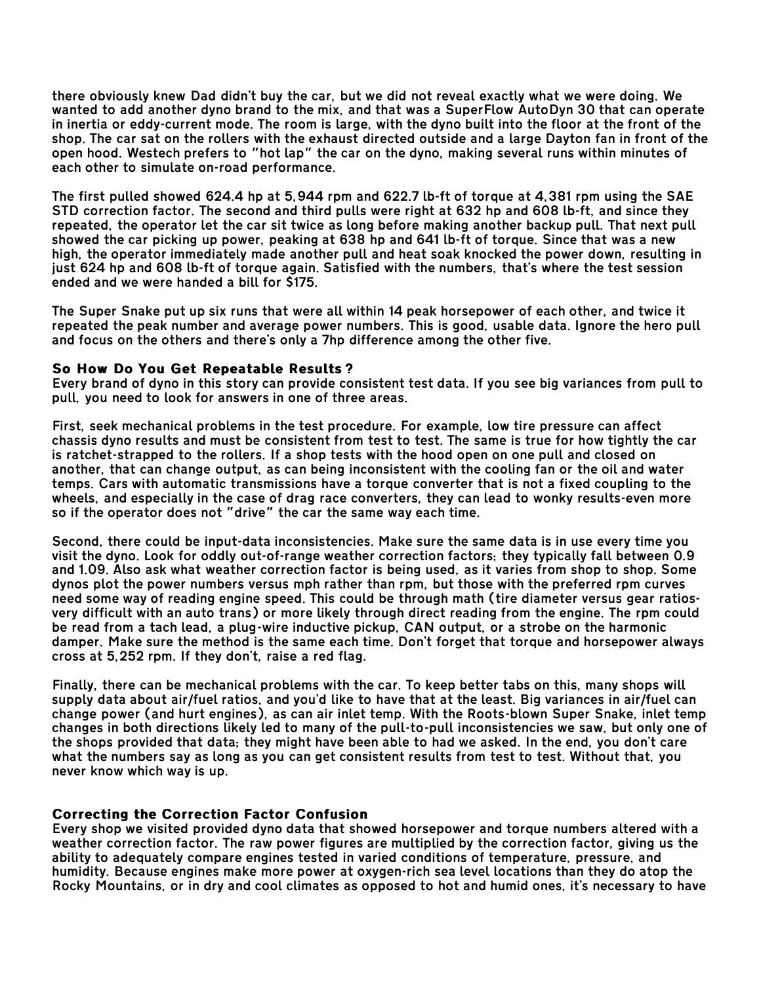there obviously knew Dad didn't buy the car, but we did not reveal exactly what we were doing. We wanted to add another dyno brand to the mix, and that was a SuperFlow AutoDyn 30 that can operate in inertia or eddy-current mode. The room is large, with the dyno built into the floor at the front of the shop. The car sat on the rollers with the exhaust directed outside and a large Dayton fan in front of the open hood. Westech prefers to "hot lap" the car on the dyno, making several runs within minutes of each other to simulate on-road performance.

The first pulled showed 624.4 hp at 5,944 rpm and 622.7 lb-ft of torque at 4,381 rpm using the SAE STD correction factor. The second and third pulls were right at 632 hp and 608 lb-ft, and since they repeated, the operator let the car sit twice as long before making another backup pull. That next pull showed the car picking up power, peaking at 638 hp and 641 lb-ft of torque. Since that was a new high, the operator immediately made another pull and heat soak knocked the power down, resulting in just 624 hp and 608 lb-ft of torque again. Satisfied with the numbers, that's where the test session ended and we were handed a bill for \$175.

The Super Snake put up six runs that were all within 14 peak horsepower of each other, and twice it repeated the peak number and average power numbers. This is good, usable data. Ignore the hero pull and focus on the others and there's only a 7hp difference among the other five.

## So How Do You Get Repeatable Results?

Every brand of dyno in this story can provide consistent test data. If you see big variances from pull to pull, you need to look for answers in one of three areas.

First, seek mechanical problems in the test procedure. For example, low tire pressure can affect chassis dyno results and must be consistent from test to test. The same is true for how tightly the car is ratchet-strapped to the rollers. If a shop tests with the hood open on one pull and closed on another, that can change output, as can being inconsistent with the cooling fan or the oil and water temps. Cars with automatic transmissions have a torque converter that is not a fixed coupling to the wheels, and especially in the case of drag race converters, they can lead to wonky results-even more so if the operator does not "drive" the car the same way each time.

Second, there could be input-data inconsistencies. Make sure the same data is in use every time you visit the dyno. Look for oddly out-of-range weather correction factors; they typically fall between 0.9 and 1.09. Also ask what weather correction factor is being used, as it varies from shop to shop. Some dynos plot the power numbers versus mph rather than rpm, but those with the preferred rpm curves need some way of reading engine speed. This could be through math (tire diameter versus gear ratiosvery difficult with an auto trans) or more likely through direct reading from the engine. The rpm could be read from a tach lead, a plug-wire inductive pickup, CAN output, or a strobe on the harmonic damper. Make sure the method is the same each time. Don't forget that torque and horsepower always cross at 5,252 rpm. If they don't, raise a red flag.

Finally, there can be mechanical problems with the car. To keep better tabs on this, many shops will supply data about air/fuel ratios, and you'd like to have that at the least. Big variances in air/fuel can change power (and hurt engines), as can air inlet temp. With the Roots-blown Super Snake, inlet temp changes in both directions likely led to many of the pull-to-pull inconsistencies we saw, but only one of the shops provided that data; they might have been able to had we asked. In the end, you don't care what the numbers say as long as you can get consistent results from test to test. Without that, you never know which way is up.

## Correcting the Correction Factor Confusion

Every shop we visited provided dyno data that showed horsepower and torque numbers altered with a weather correction factor. The raw power figures are multiplied by the correction factor, giving us the ability to adequately compare engines tested in varied conditions of temperature, pressure, and humidity. Because engines make more power at oxygen-rich sea level locations than they do atop the Rocky Mountains, or in dry and cool climates as opposed to hot and humid ones, it's necessary to have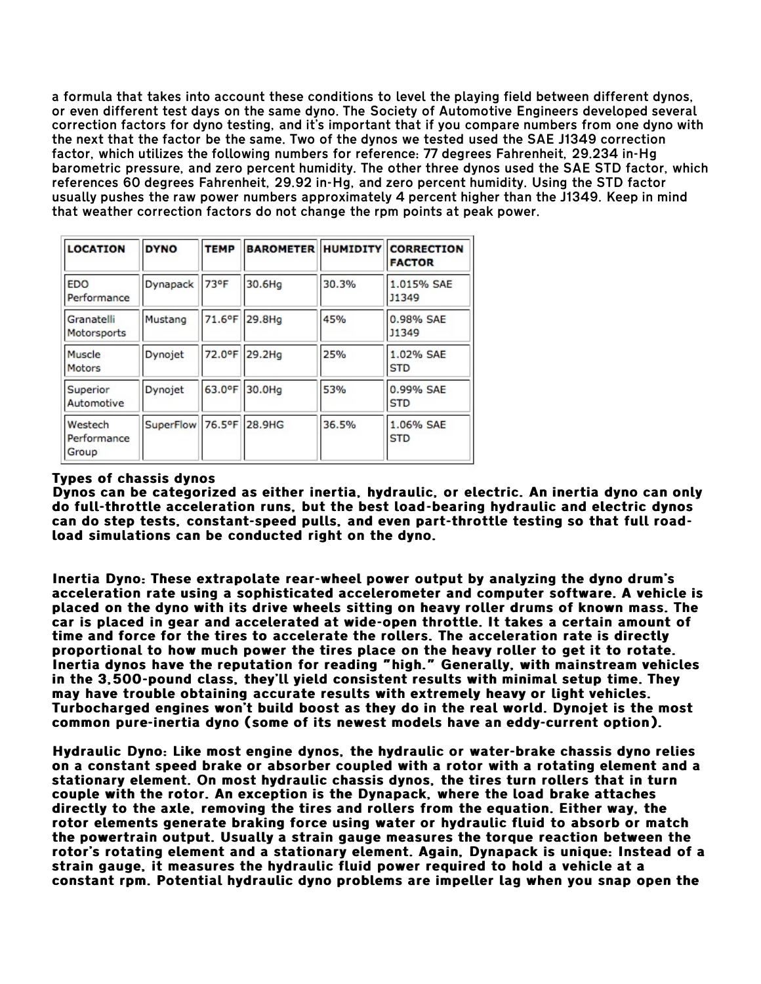a formula that takes into account these conditions to level the playing field between different dynos, or even different test days on the same dyno. The Society of Automotive Engineers developed several correction factors for dyno testing, and it's important that if you compare numbers from one dyno with the next that the factor be the same. Two of the dynos we tested used the SAE J1349 correction factor, which utilizes the following numbers for reference: 77 degrees Fahrenheit, 29.234 in-Hg barometric pressure, and zero percent humidity. The other three dynos used the SAE STD factor, which references 60 degrees Fahrenheit, 29.92 in-Hg, and zero percent humidity. Using the STD factor usually pushes the raw power numbers approximately 4 percent higher than the J1349. Keep in mind that weather correction factors do not change the rpm points at peak power.

| <b>LOCATION</b>                 | <b>DYNO</b>             | <b>TEMP</b> | <b>BAROMETER HUMIDITY</b> |       | <b>CORRECTION</b><br><b>FACTOR</b> |
|---------------------------------|-------------------------|-------------|---------------------------|-------|------------------------------------|
| <b>EDO</b><br>Performance       | Dynapack                | 73°F        | 30.6Hg                    | 30.3% | 1.015% SAE<br>J1349                |
| Granatelli<br>Motorsports       | Mustang                 | 71.6°F      | 29.8Hg                    | 45%   | 0.98% SAE<br><b>J1349</b>          |
| Muscle<br>Motors                | Dynojet                 |             | 72.0°F 29.2Hq             | 25%   | 1.02% SAE<br><b>STD</b>            |
| Superior<br>Automotive          | Dynojet                 |             | 63.0°F 30.0Hg             | 53%   | 0.99% SAE<br><b>STD</b>            |
| Westech<br>Performance<br>Group | SuperFlow 76.5°F 28.9HG |             |                           | 36.5% | 1.06% SAE<br><b>STD</b>            |

## Types of chassis dynos

Dynos can be categorized as either inertia, hydraulic, or electric. An inertia dyno can only do full-throttle acceleration runs, but the best load-bearing hydraulic and electric dynos can do step tests, constant-speed pulls, and even part-throttle testing so that full roadload simulations can be conducted right on the dyno.

Inertia Dyno: These extrapolate rear-wheel power output by analyzing the dyno drum's acceleration rate using a sophisticated accelerometer and computer software. A vehicle is placed on the dyno with its drive wheels sitting on heavy roller drums of known mass. The car is placed in gear and accelerated at wide-open throttle. It takes a certain amount of time and force for the tires to accelerate the rollers. The acceleration rate is directly proportional to how much power the tires place on the heavy roller to get it to rotate. Inertia dynos have the reputation for reading "high." Generally, with mainstream vehicles in the 3,500-pound class, they'll yield consistent results with minimal setup time. They may have trouble obtaining accurate results with extremely heavy or light vehicles. Turbocharged engines won't build boost as they do in the real world. Dynojet is the most common pure-inertia dyno (some of its newest models have an eddy-current option).

Hydraulic Dyno: Like most engine dynos, the hydraulic or water-brake chassis dyno relies on a constant speed brake or absorber coupled with a rotor with a rotating element and a stationary element. On most hydraulic chassis dynos, the tires turn rollers that in turn couple with the rotor. An exception is the Dynapack, where the load brake attaches directly to the axle, removing the tires and rollers from the equation. Either way, the rotor elements generate braking force using water or hydraulic fluid to absorb or match the powertrain output. Usually a strain gauge measures the torque reaction between the rotor's rotating element and a stationary element. Again, Dynapack is unique: Instead of a strain gauge, it measures the hydraulic fluid power required to hold a vehicle at a constant rpm. Potential hydraulic dyno problems are impeller lag when you snap open the